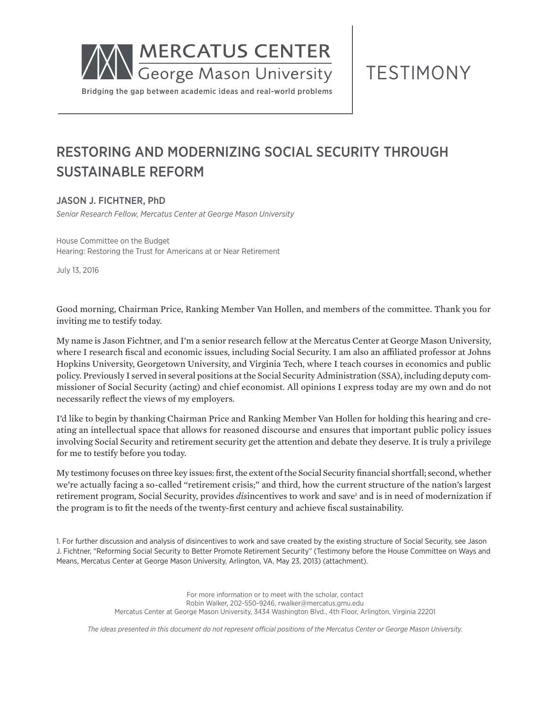

TESTIMONY

# RESTORING AND MODERNIZING SOCIAL SECURITY THROUGH SUSTAINABLE REFORM

# JASON J. FICHTNER, PhD

*Senior Research Fellow, Mercatus Center at George Mason University*

House Committee on the Budget Hearing: Restoring the Trust for Americans at or Near Retirement

July 13, 2016

Good morning, Chairman Price, Ranking Member Van Hollen, and members of the committee. Thank you for inviting me to testify today.

My name is Jason Fichtner, and I'm a senior research fellow at the Mercatus Center at George Mason University, where I research fiscal and economic issues, including Social Security. I am also an affiliated professor at Johns Hopkins University, Georgetown University, and Virginia Tech, where I teach courses in economics and public policy. Previously I served in several positions at the Social Security Administration (SSA), including deputy commissioner of Social Security (acting) and chief economist. All opinions I express today are my own and do not necessarily reflect the views of my employers.

I'd like to begin by thanking Chairman Price and Ranking Member Van Hollen for holding this hearing and creating an intellectual space that allows for reasoned discourse and ensures that important public policy issues involving Social Security and retirement security get the attention and debate they deserve. It is truly a privilege for me to testify before you today.

My testimony focuses on three key issues: first, the extent of the Social Security financial shortfall; second, whether we're actually facing a so-called "retirement crisis;" and third, how the current structure of the nation's largest retirement program, Social Security, provides *dis*incentives to work and save<sup>1</sup> and is in need of modernization if the program is to fit the needs of the twenty-first century and achieve fiscal sustainability.

1. For further discussion and analysis of disincentives to work and save created by the existing structure of Social Security, see Jason J. Fichtner, "Reforming Social Security to Better Promote Retirement Security" (Testimony before the House Committee on Ways and Means, Mercatus Center at George Mason University, Arlington, VA, May 23, 2013) (attachment).

> For more information or to meet with the scholar, contact Robin Walker, 202-550-9246, rwalker@mercatus.gmu.edu Mercatus Center at George Mason University, 3434 Washington Blvd., 4th Floor, Arlington, Virginia 22201

*The ideas presented in this document do not represent official positions of the Mercatus Center or George Mason University.*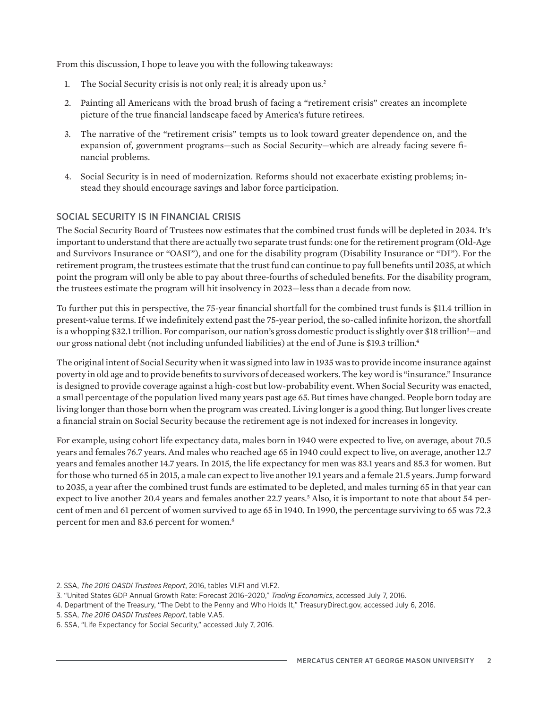From this discussion, I hope to leave you with the following takeaways:

- 1. The Social Security crisis is not only real; it is already upon us.<sup>2</sup>
- 2. Painting all Americans with the broad brush of facing a "retirement crisis" creates an incomplete picture of the true financial landscape faced by America's future retirees.
- 3. The narrative of the "retirement crisis" tempts us to look toward greater dependence on, and the expansion of, government programs—such as Social Security—which are already facing severe financial problems.
- 4. Social Security is in need of modernization. Reforms should not exacerbate existing problems; instead they should encourage savings and labor force participation.

# SOCIAL SECURITY IS IN FINANCIAL CRISIS

The Social Security Board of Trustees now estimates that the combined trust funds will be depleted in 2034. It's important to understand that there are actually two separate trust funds: one for the retirement program (Old-Age and Survivors Insurance or "OASI"), and one for the disability program (Disability Insurance or "DI"). For the retirement program, the trustees estimate that the trust fund can continue to pay full benefits until 2035, at which point the program will only be able to pay about three-fourths of scheduled benefits. For the disability program, the trustees estimate the program will hit insolvency in 2023—less than a decade from now.

To further put this in perspective, the 75-year financial shortfall for the combined trust funds is \$11.4 trillion in present-value terms. If we indefinitely extend past the 75-year period, the so-called infinite horizon, the shortfall is a whopping \$32.1 trillion. For comparison, our nation's gross domestic product is slightly over \$18 trillion<sup>3</sup>—and our gross national debt (not including unfunded liabilities) at the end of June is \$19.3 trillion.4

The original intent of Social Security when it was signed into law in 1935 was to provide income insurance against poverty in old age and to provide benefits to survivors of deceased workers. The key word is "insurance." Insurance is designed to provide coverage against a high-cost but low-probability event. When Social Security was enacted, a small percentage of the population lived many years past age 65. But times have changed. People born today are living longer than those born when the program was created. Living longer is a good thing. But longer lives create a financial strain on Social Security because the retirement age is not indexed for increases in longevity.

For example, using cohort life expectancy data, males born in 1940 were expected to live, on average, about 70.5 years and females 76.7 years. And males who reached age 65 in 1940 could expect to live, on average, another 12.7 years and females another 14.7 years. In 2015, the life expectancy for men was 83.1 years and 85.3 for women. But for those who turned 65 in 2015, a male can expect to live another 19.1 years and a female 21.5 years. Jump forward to 2035, a year after the combined trust funds are estimated to be depleted, and males turning 65 in that year can expect to live another 20.4 years and females another 22.7 years.<sup>5</sup> Also, it is important to note that about 54 percent of men and 61 percent of women survived to age 65 in 1940. In 1990, the percentage surviving to 65 was 72.3 percent for men and 83.6 percent for women.<sup>6</sup>

- 2. SSA, *The 2016 OASDI Trustees Report*, 2016, tables VI.F1 and VI.F2.
- 3. "United States GDP Annual Growth Rate: Forecast 2016–2020," *Trading Economics*, accessed July 7, 2016.
- 4. Department of the Treasury, "The Debt to the Penny and Who Holds It," TreasuryDirect.gov, accessed July 6, 2016.
- 5. SSA, *The 2016 OASDI Trustees Report*, table V.A5.
- 6. SSA, "Life Expectancy for Social Security," accessed July 7, 2016.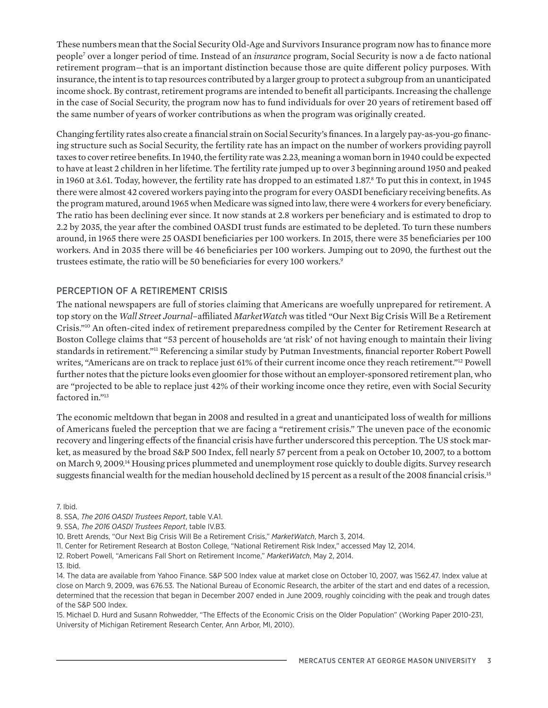These numbers mean that the Social Security Old-Age and Survivors Insurance program now has to finance more people<sup>7</sup> over a longer period of time. Instead of an *insurance* program, Social Security is now a de facto national retirement program—that is an important distinction because those are quite different policy purposes. With insurance, the intent is to tap resources contributed by a larger group to protect a subgroup from an unanticipated income shock. By contrast, retirement programs are intended to benefit all participants. Increasing the challenge in the case of Social Security, the program now has to fund individuals for over 20 years of retirement based off the same number of years of worker contributions as when the program was originally created.

Changing fertility rates also create a financial strain on Social Security's finances. In a largely pay-as-you-go financing structure such as Social Security, the fertility rate has an impact on the number of workers providing payroll taxes to cover retiree benefits. In 1940, the fertility rate was 2.23, meaning a woman born in 1940 could be expected to have at least 2 children in her lifetime. The fertility rate jumped up to over 3 beginning around 1950 and peaked in 1960 at 3.61. Today, however, the fertility rate has dropped to an estimated 1.87.<sup>8</sup> To put this in context, in 1945 there were almost 42 covered workers paying into the program for every OASDI beneficiary receiving benefits. As the program matured, around 1965 when Medicare was signed into law, there were 4 workers for every beneficiary. The ratio has been declining ever since. It now stands at 2.8 workers per beneficiary and is estimated to drop to 2.2 by 2035, the year after the combined OASDI trust funds are estimated to be depleted. To turn these numbers around, in 1965 there were 25 OASDI beneficiaries per 100 workers. In 2015, there were 35 beneficiaries per 100 workers. And in 2035 there will be 46 beneficiaries per 100 workers. Jumping out to 2090, the furthest out the trustees estimate, the ratio will be 50 beneficiaries for every 100 workers.<sup>9</sup>

## PERCEPTION OF A RETIREMENT CRISIS

The national newspapers are full of stories claiming that Americans are woefully unprepared for retirement. A top story on the *Wall Street Journal*–affiliated *MarketWatch* was titled "Our Next Big Crisis Will Be a Retirement Crisis."10 An often-cited index of retirement preparedness compiled by the Center for Retirement Research at Boston College claims that "53 percent of households are 'at risk' of not having enough to maintain their living standards in retirement."11 Referencing a similar study by Putman Investments, financial reporter Robert Powell writes, "Americans are on track to replace just 61% of their current income once they reach retirement."<sup>12</sup> Powell further notes that the picture looks even gloomier for those without an employer-sponsored retirement plan, who are "projected to be able to replace just 42% of their working income once they retire, even with Social Security factored in."<sup>13</sup>

The economic meltdown that began in 2008 and resulted in a great and unanticipated loss of wealth for millions of Americans fueled the perception that we are facing a "retirement crisis." The uneven pace of the economic recovery and lingering effects of the financial crisis have further underscored this perception. The US stock market, as measured by the broad S&P 500 Index, fell nearly 57 percent from a peak on October 10, 2007, to a bottom on March 9, 2009.14 Housing prices plummeted and unemployment rose quickly to double digits. Survey research suggests financial wealth for the median household declined by 15 percent as a result of the 2008 financial crisis.<sup>15</sup>

7. Ibid.

8. SSA, *The 2016 OASDI Trustees Report*, table V.A1.

9. SSA, *The 2016 OASDI Trustees Report*, table IV.B3.

10. Brett Arends, "Our Next Big Crisis Will Be a Retirement Crisis," *MarketWatch*, March 3, 2014.

11. Center for Retirement Research at Boston College, "National Retirement Risk Index," accessed May 12, 2014.

12. Robert Powell, "Americans Fall Short on Retirement Income," *MarketWatch*, May 2, 2014.

13. Ibid.

14. The data are available from Yahoo Finance. S&P 500 Index value at market close on October 10, 2007, was 1562.47. Index value at close on March 9, 2009, was 676.53. The National Bureau of Economic Research, the arbiter of the start and end dates of a recession, determined that the recession that began in December 2007 ended in June 2009, roughly coinciding with the peak and trough dates of the S&P 500 Index.

15. Michael D. Hurd and Susann Rohwedder, "The Effects of the Economic Crisis on the Older Population" (Working Paper 2010-231, University of Michigan Retirement Research Center, Ann Arbor, MI, 2010).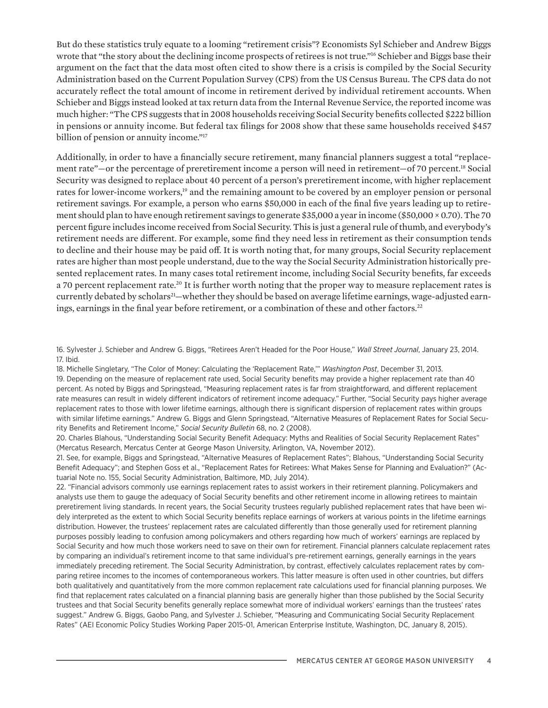But do these statistics truly equate to a looming "retirement crisis"? Economists Syl Schieber and Andrew Biggs wrote that "the story about the declining income prospects of retirees is not true."<sup>16</sup> Schieber and Biggs base their argument on the fact that the data most often cited to show there is a crisis is compiled by the Social Security Administration based on the Current Population Survey (CPS) from the US Census Bureau. The CPS data do not accurately reflect the total amount of income in retirement derived by individual retirement accounts. When Schieber and Biggs instead looked at tax return data from the Internal Revenue Service, the reported income was much higher: "The CPS suggests that in 2008 households receiving Social Security benefits collected \$222 billion in pensions or annuity income. But federal tax filings for 2008 show that these same households received \$457 billion of pension or annuity income."<sup>17</sup>

Additionally, in order to have a financially secure retirement, many financial planners suggest a total "replacement rate"—or the percentage of preretirement income a person will need in retirement—of 70 percent.18 Social Security was designed to replace about 40 percent of a person's preretirement income, with higher replacement rates for lower-income workers,<sup>19</sup> and the remaining amount to be covered by an employer pension or personal retirement savings. For example, a person who earns \$50,000 in each of the final five years leading up to retirement should plan to have enough retirement savings to generate \$35,000 a year in income (\$50,000 × 0.70). The 70 percent figure includes income received from Social Security. This is just a general rule of thumb, and everybody's retirement needs are different. For example, some find they need less in retirement as their consumption tends to decline and their house may be paid off. It is worth noting that, for many groups, Social Security replacement rates are higher than most people understand, due to the way the Social Security Administration historically presented replacement rates. In many cases total retirement income, including Social Security benefits, far exceeds a 70 percent replacement rate.<sup>20</sup> It is further worth noting that the proper way to measure replacement rates is currently debated by scholars<sup>21</sup>—whether they should be based on average lifetime earnings, wage-adjusted earnings, earnings in the final year before retirement, or a combination of these and other factors.<sup>22</sup>

22. "Financial advisors commonly use earnings replacement rates to assist workers in their retirement planning. Policymakers and analysts use them to gauge the adequacy of Social Security benefits and other retirement income in allowing retirees to maintain preretirement living standards. In recent years, the Social Security trustees regularly published replacement rates that have been widely interpreted as the extent to which Social Security benefits replace earnings of workers at various points in the lifetime earnings distribution. However, the trustees' replacement rates are calculated differently than those generally used for retirement planning purposes possibly leading to confusion among policymakers and others regarding how much of workers' earnings are replaced by Social Security and how much those workers need to save on their own for retirement. Financial planners calculate replacement rates by comparing an individual's retirement income to that same individual's pre-retirement earnings, generally earnings in the years immediately preceding retirement. The Social Security Administration, by contrast, effectively calculates replacement rates by comparing retiree incomes to the incomes of contemporaneous workers. This latter measure is often used in other countries, but differs both qualitatively and quantitatively from the more common replacement rate calculations used for financial planning purposes. We find that replacement rates calculated on a financial planning basis are generally higher than those published by the Social Security trustees and that Social Security benefits generally replace somewhat more of individual workers' earnings than the trustees' rates suggest." Andrew G. Biggs, Gaobo Pang, and Sylvester J. Schieber, "Measuring and Communicating Social Security Replacement Rates" (AEI Economic Policy Studies Working Paper 2015-01, American Enterprise Institute, Washington, DC, January 8, 2015).

<sup>16.</sup> Sylvester J. Schieber and Andrew G. Biggs, "Retirees Aren't Headed for the Poor House," *Wall Street Journal*, January 23, 2014. 17. Ibid.

<sup>18.</sup> Michelle Singletary, "The Color of Money: Calculating the 'Replacement Rate,'" *Washington Post*, December 31, 2013.

<sup>19.</sup> Depending on the measure of replacement rate used, Social Security benefits may provide a higher replacement rate than 40 percent. As noted by Biggs and Springstead, "Measuring replacement rates is far from straightforward, and different replacement rate measures can result in widely different indicators of retirement income adequacy." Further, "Social Security pays higher average replacement rates to those with lower lifetime earnings, although there is significant dispersion of replacement rates within groups with similar lifetime earnings." Andrew G. Biggs and Glenn Springstead, "Alternative Measures of Replacement Rates for Social Security Benefits and Retirement Income," *Social Security Bulletin* 68, no. 2 (2008).

<sup>20.</sup> Charles Blahous, "Understanding Social Security Benefit Adequacy: Myths and Realities of Social Security Replacement Rates" (Mercatus Research, Mercatus Center at George Mason University, Arlington, VA, November 2012).

<sup>21.</sup> See, for example, Biggs and Springstead, "Alternative Measures of Replacement Rates"; Blahous, "Understanding Social Security Benefit Adequacy"; and Stephen Goss et al., "Replacement Rates for Retirees: What Makes Sense for Planning and Evaluation?" (Actuarial Note no. 155, Social Security Administration, Baltimore, MD, July 2014).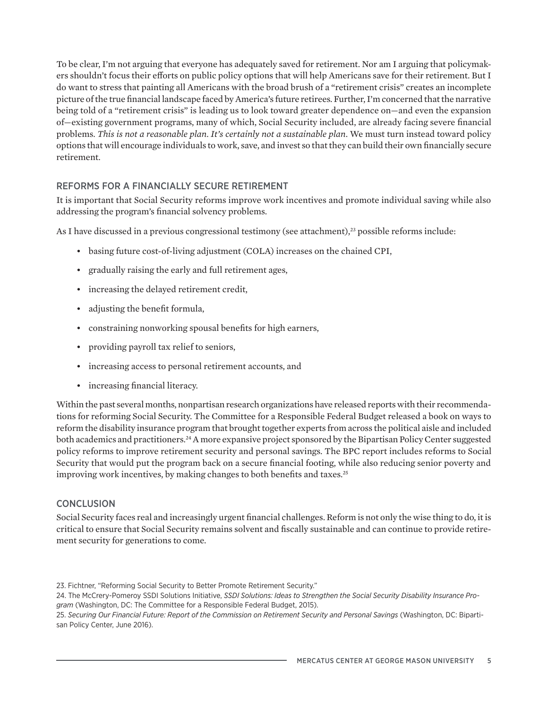To be clear, I'm not arguing that everyone has adequately saved for retirement. Nor am I arguing that policymakers shouldn't focus their efforts on public policy options that will help Americans save for their retirement. But I do want to stress that painting all Americans with the broad brush of a "retirement crisis" creates an incomplete picture of the true financial landscape faced by America's future retirees. Further, I'm concerned that the narrative being told of a "retirement crisis" is leading us to look toward greater dependence on—and even the expansion of—existing government programs, many of which, Social Security included, are already facing severe financial problems. *This is not a reasonable plan*. *It's certainly not a sustainable plan*. We must turn instead toward policy options that will encourage individuals to work, save, and invest so that they can build their own financially secure retirement.

# REFORMS FOR A FINANCIALLY SECURE RETIREMENT

It is important that Social Security reforms improve work incentives and promote individual saving while also addressing the program's financial solvency problems.

As I have discussed in a previous congressional testimony (see attachment), $^{23}$  possible reforms include:

- basing future cost-of-living adjustment (COLA) increases on the chained CPI,
- gradually raising the early and full retirement ages,
- increasing the delayed retirement credit,
- adjusting the benefit formula,
- constraining nonworking spousal benefits for high earners,
- providing payroll tax relief to seniors,
- increasing access to personal retirement accounts, and
- increasing financial literacy.

Within the past several months, nonpartisan research organizations have released reports with their recommendations for reforming Social Security. The Committee for a Responsible Federal Budget released a book on ways to reform the disability insurance program that brought together experts from across the political aisle and included both academics and practitioners.<sup>24</sup> A more expansive project sponsored by the Bipartisan Policy Center suggested policy reforms to improve retirement security and personal savings. The BPC report includes reforms to Social Security that would put the program back on a secure financial footing, while also reducing senior poverty and improving work incentives, by making changes to both benefits and taxes.<sup>25</sup>

# **CONCLUSION**

Social Security faces real and increasingly urgent financial challenges. Reform is not only the wise thing to do, it is critical to ensure that Social Security remains solvent and fiscally sustainable and can continue to provide retirement security for generations to come.

<sup>23.</sup> Fichtner, "Reforming Social Security to Better Promote Retirement Security."

<sup>24.</sup> The McCrery-Pomeroy SSDI Solutions Initiative, *SSDI Solutions: Ideas to Strengthen the Social Security Disability Insurance Program* (Washington, DC: The Committee for a Responsible Federal Budget, 2015).

<sup>25.</sup> *Securing Our Financial Future: Report of the Commission on Retirement Security and Personal Savings* (Washington, DC: Bipartisan Policy Center, June 2016).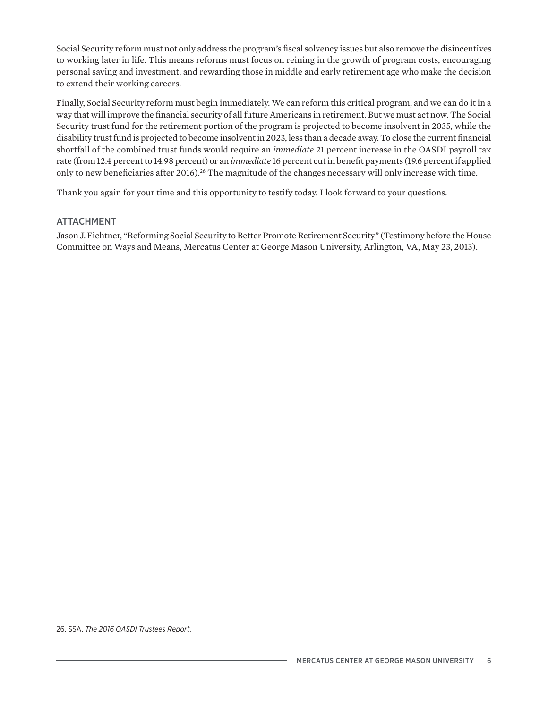Social Security reform must not only address the program's fiscal solvency issues but also remove the disincentives to working later in life. This means reforms must focus on reining in the growth of program costs, encouraging personal saving and investment, and rewarding those in middle and early retirement age who make the decision to extend their working careers.

Finally, Social Security reform must begin immediately. We can reform this critical program, and we can do it in a way that will improve the financial security of all future Americans in retirement. But we must act now. The Social Security trust fund for the retirement portion of the program is projected to become insolvent in 2035, while the disability trust fund is projected to become insolvent in 2023, less than a decade away. To close the current financial shortfall of the combined trust funds would require an *immediate* 21 percent increase in the OASDI payroll tax rate (from 12.4 percent to 14.98 percent) or an *immediate* 16 percent cut in benefit payments (19.6 percent if applied only to new beneficiaries after 2016).26 The magnitude of the changes necessary will only increase with time.

Thank you again for your time and this opportunity to testify today. I look forward to your questions.

## ATTACHMENT

Jason J. Fichtner, "Reforming Social Security to Better Promote Retirement Security" (Testimony before the House Committee on Ways and Means, Mercatus Center at George Mason University, Arlington, VA, May 23, 2013).

26. SSA, *The 2016 OASDI Trustees Report*.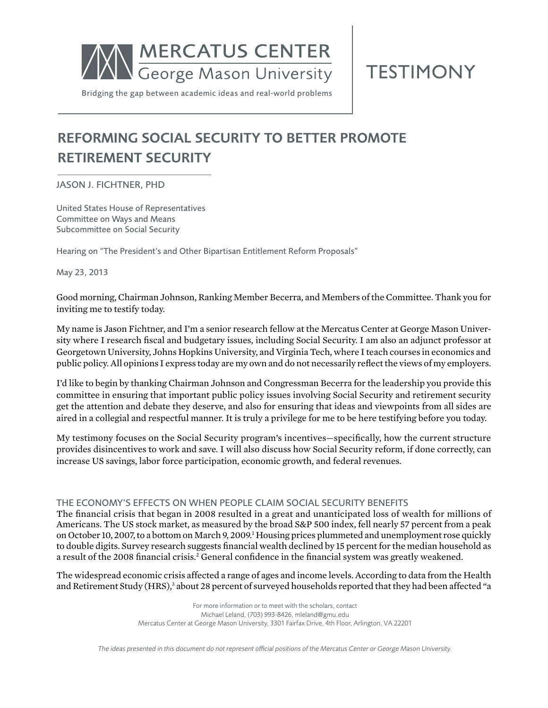

**TESTIMONY** 

Bridging the gap between academic ideas and real-world problems

# reforming social security to better promote retirement security

## Jason J. Fichtner, PhD

United States House of Representatives Committee on Ways and Means Subcommittee on Social Security

Hearing on "The President's and Other Bipartisan Entitlement Reform Proposals"

May 23, 2013

Good morning, Chairman Johnson, Ranking Member Becerra, and Members of the Committee. Thank you for inviting me to testify today.

My name is Jason Fichtner, and I'm a senior research fellow at the Mercatus Center at George Mason University where I research fiscal and budgetary issues, including Social Security. I am also an adjunct professor at Georgetown University, Johns Hopkins University, and Virginia Tech, where I teach courses in economics and public policy. All opinions I express today are my own and do not necessarily reflect the views of my employers.

I'd like to begin by thanking Chairman Johnson and Congressman Becerra for the leadership you provide this committee in ensuring that important public policy issues involving Social Security and retirement security get the attention and debate they deserve, and also for ensuring that ideas and viewpoints from all sides are aired in a collegial and respectful manner. It is truly a privilege for me to be here testifying before you today.

My testimony focuses on the Social Security program's incentives—specifically, how the current structure provides disincentives to work and save. I will also discuss how Social Security reform, if done correctly, can increase US savings, labor force participation, economic growth, and federal revenues.

## The economy's effects on when PEOPLE claim social security benefits

The financial crisis that began in 2008 resulted in a great and unanticipated loss of wealth for millions of Americans. The US stock market, as measured by the broad S&P 500 index, fell nearly 57 percent from a peak on October 10, 2007, to a bottom on March 9, 2009.<sup>1</sup> Housing prices plummeted and unemployment rose quickly to double digits. Survey research suggests financial wealth declined by 15 percent for the median household as a result of the 2008 financial crisis.<sup>2</sup> General confidence in the financial system was greatly weakened.

The widespread economic crisis affected a range of ages and income levels. According to data from the Health and Retirement Study (HRS),<sup>3</sup> about 28 percent of surveyed households reported that they had been affected "a

> For more information or to meet with the scholars, contact Michael Leland, (703) 993-8426, mleland@gmu.edu Mercatus Center at George Mason University, 3301 Fairfax Drive, 4th Floor, Arlington, VA 22201

*The ideas presented in this document do not represent official positions of the Mercatus Center or George Mason University.*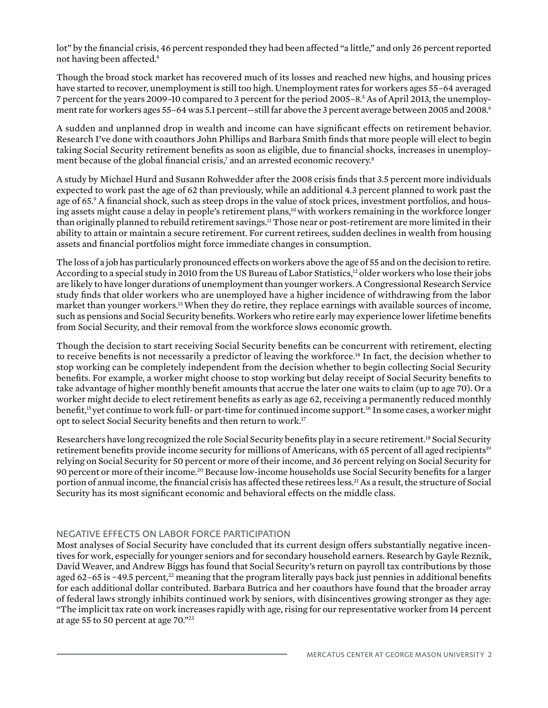lot" by the financial crisis, 46 percent responded they had been affected "a little," and only 26 percent reported not having been affected.4

Though the broad stock market has recovered much of its losses and reached new highs, and housing prices have started to recover, unemployment is still too high. Unemployment rates for workers ages 55–64 averaged 7 percent for the years 2009–10 compared to 3 percent for the period 2005–8.5 As of April 2013, the unemployment rate for workers ages 55–64 was 5.1 percent—still far above the 3 percent average between 2005 and 2008.6

A sudden and unplanned drop in wealth and income can have significant effects on retirement behavior. Research I've done with coauthors John Phillips and Barbara Smith finds that more people will elect to begin taking Social Security retirement benefits as soon as eligible, due to financial shocks, increases in unemployment because of the global financial crisis, $^7$  and an arrested economic recovery. $^8$ 

A study by Michael Hurd and Susann Rohwedder after the 2008 crisis finds that 3.5 percent more individuals expected to work past the age of 62 than previously, while an additional 4.3 percent planned to work past the age of 65.9 A financial shock, such as steep drops in the value of stock prices, investment portfolios, and housing assets might cause a delay in people's retirement plans,<sup>10</sup> with workers remaining in the workforce longer than originally planned to rebuild retirement savings.<sup>11</sup> Those near or post-retirement are more limited in their ability to attain or maintain a secure retirement. For current retirees, sudden declines in wealth from housing assets and financial portfolios might force immediate changes in consumption.

The loss of a job has particularly pronounced effects on workers above the age of 55 and on the decision to retire. According to a special study in 2010 from the US Bureau of Labor Statistics,<sup>12</sup> older workers who lose their jobs are likely to have longer durations of unemployment than younger workers. A Congressional Research Service study finds that older workers who are unemployed have a higher incidence of withdrawing from the labor market than younger workers.<sup>13</sup> When they do retire, they replace earnings with available sources of income, such as pensions and Social Security benefits. Workers who retire early may experience lower lifetime benefits from Social Security, and their removal from the workforce slows economic growth.

Though the decision to start receiving Social Security benefits can be concurrent with retirement, electing to receive benefits is not necessarily a predictor of leaving the workforce.14 In fact, the decision whether to stop working can be completely independent from the decision whether to begin collecting Social Security benefits. For example, a worker might choose to stop working but delay receipt of Social Security benefits to take advantage of higher monthly benefit amounts that accrue the later one waits to claim (up to age 70). Or a worker might decide to elect retirement benefits as early as age 62, receiving a permanently reduced monthly benefit,15 yet continue to work full- or part-time for continued income support.16 In some cases, a worker might opt to select Social Security benefits and then return to work.<sup>17</sup>

Researchers have long recognized the role Social Security benefits play in a secure retirement.<sup>18</sup> Social Security retirement benefits provide income security for millions of Americans, with 65 percent of all aged recipients<sup>19</sup> relying on Social Security for 50 percent or more of their income, and 36 percent relying on Social Security for 90 percent or more of their income.20 Because low-income households use Social Security benefits for a larger portion of annual income, the financial crisis has affected these retirees less.<sup>21</sup> As a result, the structure of Social Security has its most significant economic and behavioral effects on the middle class.

## negative effects on labor force participation

Most analyses of Social Security have concluded that its current design offers substantially negative incentives for work, especially for younger seniors and for secondary household earners. Research by Gayle Reznik, David Weaver, and Andrew Biggs has found that Social Security's return on payroll tax contributions by those aged 62–65 is −49.5 percent,<sup>22</sup> meaning that the program literally pays back just pennies in additional benefits for each additional dollar contributed. Barbara Butrica and her coauthors have found that the broader array of federal laws strongly inhibits continued work by seniors, with disincentives growing stronger as they age: "The implicit tax rate on work increases rapidly with age, rising for our representative worker from 14 percent at age 55 to 50 percent at age 70."23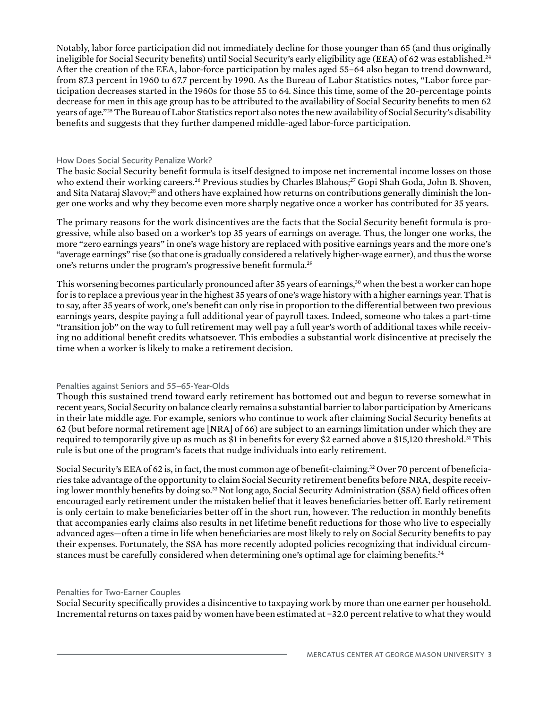Notably, labor force participation did not immediately decline for those younger than 65 (and thus originally ineligible for Social Security benefits) until Social Security's early eligibility age (EEA) of 62 was established.<sup>24</sup> After the creation of the EEA, labor-force participation by males aged 55–64 also began to trend downward, from 87.3 percent in 1960 to 67.7 percent by 1990. As the Bureau of Labor Statistics notes, "Labor force participation decreases started in the 1960s for those 55 to 64. Since this time, some of the 20-percentage points decrease for men in this age group has to be attributed to the availability of Social Security benefits to men 62 years of age."25 The Bureau of Labor Statistics report also notes the new availability of Social Security's disability benefits and suggests that they further dampened middle-aged labor-force participation.

#### How Does Social Security Penalize Work?

The basic Social Security benefit formula is itself designed to impose net incremental income losses on those who extend their working careers.<sup>26</sup> Previous studies by Charles Blahous;<sup>27</sup> Gopi Shah Goda, John B. Shoven, and Sita Nataraj Slavov;<sup>28</sup> and others have explained how returns on contributions generally diminish the longer one works and why they become even more sharply negative once a worker has contributed for 35 years.

The primary reasons for the work disincentives are the facts that the Social Security benefit formula is progressive, while also based on a worker's top 35 years of earnings on average. Thus, the longer one works, the more "zero earnings years" in one's wage history are replaced with positive earnings years and the more one's "average earnings" rise (so that one is gradually considered a relatively higher-wage earner), and thus the worse one's returns under the program's progressive benefit formula.<sup>29</sup>

This worsening becomes particularly pronounced after 35 years of earnings,<sup>30</sup> when the best a worker can hope for is to replace a previous year in the highest 35 years of one's wage history with a higher earnings year. That is to say, after 35 years of work, one's benefit can only rise in proportion to the differential between two previous earnings years, despite paying a full additional year of payroll taxes. Indeed, someone who takes a part-time "transition job" on the way to full retirement may well pay a full year's worth of additional taxes while receiving no additional benefit credits whatsoever. This embodies a substantial work disincentive at precisely the time when a worker is likely to make a retirement decision.

## Penalties against Seniors and 55–65-Year-Olds

Though this sustained trend toward early retirement has bottomed out and begun to reverse somewhat in recent years, Social Security on balance clearly remains a substantial barrier to labor participation by Americans in their late middle age. For example, seniors who continue to work after claiming Social Security benefits at 62 (but before normal retirement age [NRA] of 66) are subject to an earnings limitation under which they are required to temporarily give up as much as \$1 in benefits for every \$2 earned above a \$15,120 threshold.<sup>31</sup> This rule is but one of the program's facets that nudge individuals into early retirement.

Social Security's EEA of 62 is, in fact, the most common age of benefit-claiming.<sup>32</sup> Over 70 percent of beneficiaries take advantage of the opportunity to claim Social Security retirement benefits before NRA, despite receiving lower monthly benefits by doing so.<sup>33</sup> Not long ago, Social Security Administration (SSA) field offices often encouraged early retirement under the mistaken belief that it leaves beneficiaries better off. Early retirement is only certain to make beneficiaries better off in the short run, however. The reduction in monthly benefits that accompanies early claims also results in net lifetime benefit reductions for those who live to especially advanced ages—often a time in life when beneficiaries are most likely to rely on Social Security benefits to pay their expenses. Fortunately, the SSA has more recently adopted policies recognizing that individual circumstances must be carefully considered when determining one's optimal age for claiming benefits.<sup>34</sup>

## Penalties for Two-Earner Couples

Social Security specifically provides a disincentive to taxpaying work by more than one earner per household. Incremental returns on taxes paid by women have been estimated at −32.0 percent relative to what they would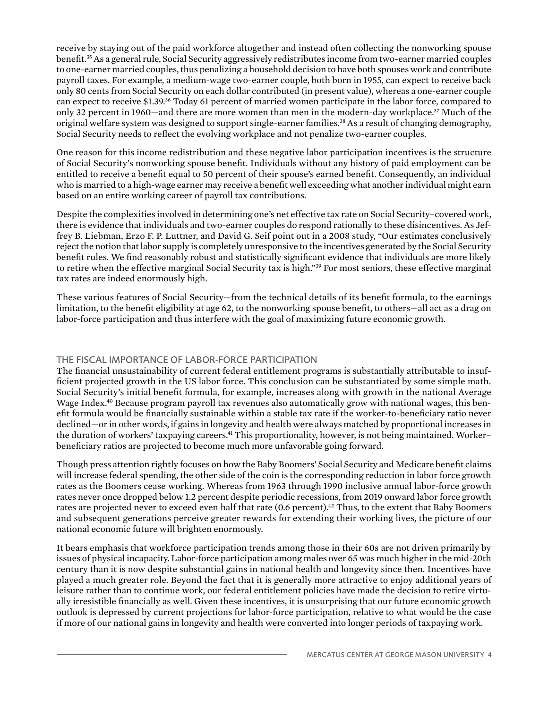receive by staying out of the paid workforce altogether and instead often collecting the nonworking spouse benefit.35 As a general rule, Social Security aggressively redistributes income from two-earner married couples to one-earner married couples, thus penalizing a household decision to have both spouses work and contribute payroll taxes. For example, a medium-wage two-earner couple, both born in 1955, can expect to receive back only 80 cents from Social Security on each dollar contributed (in present value), whereas a one-earner couple can expect to receive \$1.39.36 Today 61 percent of married women participate in the labor force, compared to only 32 percent in 1960—and there are more women than men in the modern-day workplace.37 Much of the original welfare system was designed to support single-earner families.38 As a result of changing demography, Social Security needs to reflect the evolving workplace and not penalize two-earner couples.

One reason for this income redistribution and these negative labor participation incentives is the structure of Social Security's nonworking spouse benefit. Individuals without any history of paid employment can be entitled to receive a benefit equal to 50 percent of their spouse's earned benefit. Consequently, an individual who is married to a high-wage earner may receive a benefit well exceeding what another individual might earn based on an entire working career of payroll tax contributions.

Despite the complexities involved in determining one's net effective tax rate on Social Security–covered work, there is evidence that individuals and two-earner couples do respond rationally to these disincentives. As Jeffrey B. Liebman, Erzo F. P. Luttner, and David G. Seif point out in a 2008 study, "Our estimates conclusively reject the notion that labor supply is completely unresponsive to the incentives generated by the Social Security benefit rules. We find reasonably robust and statistically significant evidence that individuals are more likely to retire when the effective marginal Social Security tax is high."39 For most seniors, these effective marginal tax rates are indeed enormously high.

These various features of Social Security—from the technical details of its benefit formula, to the earnings limitation, to the benefit eligibility at age 62, to the nonworking spouse benefit, to others—all act as a drag on labor-force participation and thus interfere with the goal of maximizing future economic growth.

## The Fiscal Importance of Labor-Force Participation

The financial unsustainability of current federal entitlement programs is substantially attributable to insufficient projected growth in the US labor force. This conclusion can be substantiated by some simple math. Social Security's initial benefit formula, for example, increases along with growth in the national Average Wage Index.<sup>40</sup> Because program payroll tax revenues also automatically grow with national wages, this benefit formula would be financially sustainable within a stable tax rate if the worker-to-beneficiary ratio never declined—or in other words, if gains in longevity and health were always matched by proportional increases in the duration of workers' taxpaying careers.<sup>41</sup> This proportionality, however, is not being maintained. Workerbeneficiary ratios are projected to become much more unfavorable going forward.

Though press attention rightly focuses on how the Baby Boomers' Social Security and Medicare benefit claims will increase federal spending, the other side of the coin is the corresponding reduction in labor force growth rates as the Boomers cease working. Whereas from 1963 through 1990 inclusive annual labor-force growth rates never once dropped below 1.2 percent despite periodic recessions, from 2019 onward labor force growth rates are projected never to exceed even half that rate (0.6 percent).<sup>42</sup> Thus, to the extent that Baby Boomers and subsequent generations perceive greater rewards for extending their working lives, the picture of our national economic future will brighten enormously.

It bears emphasis that workforce participation trends among those in their 60s are not driven primarily by issues of physical incapacity. Labor-force participation among males over 65 was much higher in the mid-20th century than it is now despite substantial gains in national health and longevity since then. Incentives have played a much greater role. Beyond the fact that it is generally more attractive to enjoy additional years of leisure rather than to continue work, our federal entitlement policies have made the decision to retire virtually irresistible financially as well. Given these incentives, it is unsurprising that our future economic growth outlook is depressed by current projections for labor-force participation, relative to what would be the case if more of our national gains in longevity and health were converted into longer periods of taxpaying work.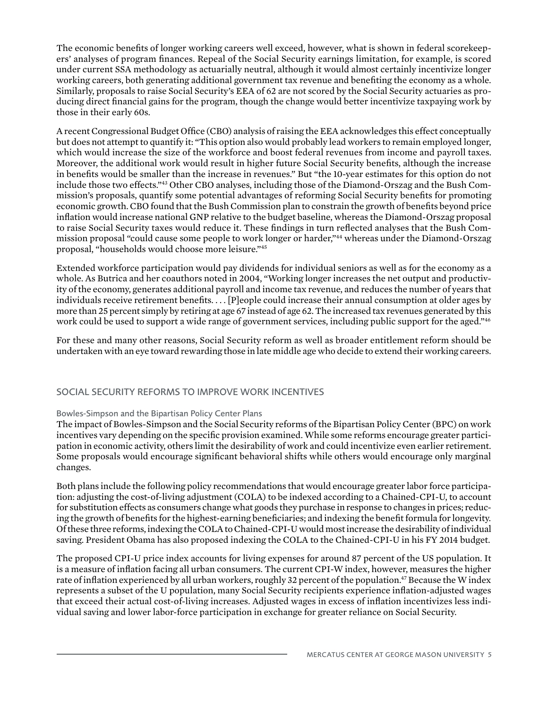The economic benefits of longer working careers well exceed, however, what is shown in federal scorekeepers' analyses of program finances. Repeal of the Social Security earnings limitation, for example, is scored under current SSA methodology as actuarially neutral, although it would almost certainly incentivize longer working careers, both generating additional government tax revenue and benefiting the economy as a whole. Similarly, proposals to raise Social Security's EEA of 62 are not scored by the Social Security actuaries as producing direct financial gains for the program, though the change would better incentivize taxpaying work by those in their early 60s.

A recent Congressional Budget Office (CBO) analysis of raising the EEA acknowledges this effect conceptually but does not attempt to quantify it: "This option also would probably lead workers to remain employed longer, which would increase the size of the workforce and boost federal revenues from income and payroll taxes. Moreover, the additional work would result in higher future Social Security benefits, although the increase in benefits would be smaller than the increase in revenues." But "the 10-year estimates for this option do not include those two effects."43 Other CBO analyses, including those of the Diamond-Orszag and the Bush Commission's proposals, quantify some potential advantages of reforming Social Security benefits for promoting economic growth. CBO found that the Bush Commission plan to constrain the growth of benefits beyond price inflation would increase national GNP relative to the budget baseline, whereas the Diamond-Orszag proposal to raise Social Security taxes would reduce it. These findings in turn reflected analyses that the Bush Commission proposal "could cause some people to work longer or harder,"44 whereas under the Diamond-Orszag proposal, "households would choose more leisure."45

Extended workforce participation would pay dividends for individual seniors as well as for the economy as a whole. As Butrica and her coauthors noted in 2004, "Working longer increases the net output and productivity of the economy, generates additional payroll and income tax revenue, and reduces the number of years that individuals receive retirement benefits. . . . [P]eople could increase their annual consumption at older ages by more than 25 percent simply by retiring at age 67 instead of age 62. The increased tax revenues generated by this work could be used to support a wide range of government services, including public support for the aged."<sup>46</sup>

For these and many other reasons, Social Security reform as well as broader entitlement reform should be undertaken with an eye toward rewarding those in late middle age who decide to extend their working careers.

## Social Security Reforms to Improve Work Incentives

## Bowles-Simpson and the Bipartisan Policy Center Plans

The impact of Bowles-Simpson and the Social Security reforms of the Bipartisan Policy Center (BPC) on work incentives vary depending on the specific provision examined. While some reforms encourage greater participation in economic activity, others limit the desirability of work and could incentivize even earlier retirement. Some proposals would encourage significant behavioral shifts while others would encourage only marginal changes.

Both plans include the following policy recommendations that would encourage greater labor force participation: adjusting the cost-of-living adjustment (COLA) to be indexed according to a Chained-CPI-U, to account for substitution effects as consumers change what goods they purchase in response to changes in prices; reducing the growth of benefits for the highest-earning beneficiaries; and indexing the benefit formula for longevity. Of these three reforms, indexing the COLA to Chained-CPI-U would most increase the desirability of individual saving. President Obama has also proposed indexing the COLA to the Chained-CPI-U in his FY 2014 budget.

The proposed CPI-U price index accounts for living expenses for around 87 percent of the US population. It is a measure of inflation facing all urban consumers. The current CPI-W index, however, measures the higher rate of inflation experienced by all urban workers, roughly 32 percent of the population.<sup>47</sup> Because the W index represents a subset of the U population, many Social Security recipients experience inflation-adjusted wages that exceed their actual cost-of-living increases. Adjusted wages in excess of inflation incentivizes less individual saving and lower labor-force participation in exchange for greater reliance on Social Security.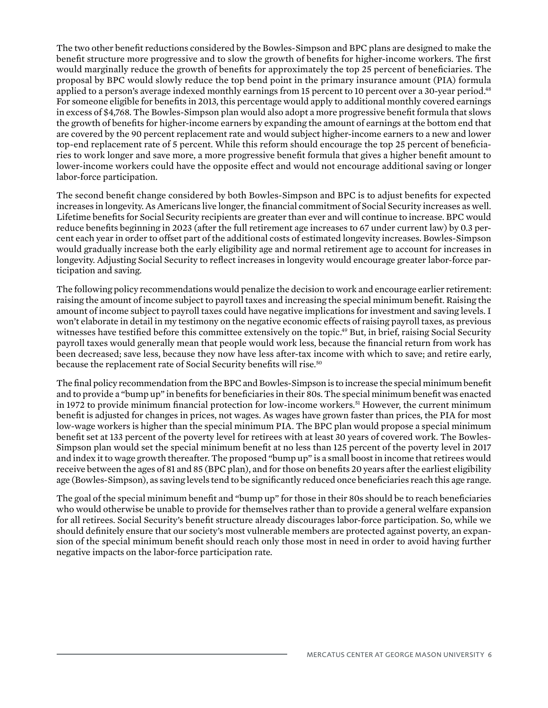The two other benefit reductions considered by the Bowles-Simpson and BPC plans are designed to make the benefit structure more progressive and to slow the growth of benefits for higher-income workers. The first would marginally reduce the growth of benefits for approximately the top 25 percent of beneficiaries. The proposal by BPC would slowly reduce the top bend point in the primary insurance amount (PIA) formula applied to a person's average indexed monthly earnings from 15 percent to 10 percent over a 30-year period.<sup>48</sup> For someone eligible for benefits in 2013, this percentage would apply to additional monthly covered earnings in excess of \$4,768. The Bowles-Simpson plan would also adopt a more progressive benefit formula that slows the growth of benefits for higher-income earners by expanding the amount of earnings at the bottom end that are covered by the 90 percent replacement rate and would subject higher-income earners to a new and lower top-end replacement rate of 5 percent. While this reform should encourage the top 25 percent of beneficiaries to work longer and save more, a more progressive benefit formula that gives a higher benefit amount to lower-income workers could have the opposite effect and would not encourage additional saving or longer labor-force participation.

The second benefit change considered by both Bowles-Simpson and BPC is to adjust benefits for expected increases in longevity. As Americans live longer, the financial commitment of Social Security increases as well. Lifetime benefits for Social Security recipients are greater than ever and will continue to increase. BPC would reduce benefits beginning in 2023 (after the full retirement age increases to 67 under current law) by 0.3 percent each year in order to offset part of the additional costs of estimated longevity increases. Bowles-Simpson would gradually increase both the early eligibility age and normal retirement age to account for increases in longevity. Adjusting Social Security to reflect increases in longevity would encourage greater labor-force participation and saving.

The following policy recommendations would penalize the decision to work and encourage earlier retirement: raising the amount of income subject to payroll taxes and increasing the special minimum benefit. Raising the amount of income subject to payroll taxes could have negative implications for investment and saving levels. I won't elaborate in detail in my testimony on the negative economic effects of raising payroll taxes, as previous witnesses have testified before this committee extensively on the topic.<sup>49</sup> But, in brief, raising Social Security payroll taxes would generally mean that people would work less, because the financial return from work has been decreased; save less, because they now have less after-tax income with which to save; and retire early, because the replacement rate of Social Security benefits will rise.<sup>50</sup>

The final policy recommendation from the BPC and Bowles-Simpson is to increase the special minimum benefit and to provide a "bump up" in benefits for beneficiaries in their 80s. The special minimum benefit was enacted in 1972 to provide minimum financial protection for low-income workers.<sup>51</sup> However, the current minimum benefit is adjusted for changes in prices, not wages. As wages have grown faster than prices, the PIA for most low-wage workers is higher than the special minimum PIA. The BPC plan would propose a special minimum benefit set at 133 percent of the poverty level for retirees with at least 30 years of covered work. The Bowles-Simpson plan would set the special minimum benefit at no less than 125 percent of the poverty level in 2017 and index it to wage growth thereafter. The proposed "bump up" is a small boost in income that retirees would receive between the ages of 81 and 85 (BPC plan), and for those on benefits 20 years after the earliest eligibility age (Bowles-Simpson), as saving levels tend to be significantly reduced once beneficiaries reach this age range.

The goal of the special minimum benefit and "bump up" for those in their 80s should be to reach beneficiaries who would otherwise be unable to provide for themselves rather than to provide a general welfare expansion for all retirees. Social Security's benefit structure already discourages labor-force participation. So, while we should definitely ensure that our society's most vulnerable members are protected against poverty, an expansion of the special minimum benefit should reach only those most in need in order to avoid having further negative impacts on the labor-force participation rate.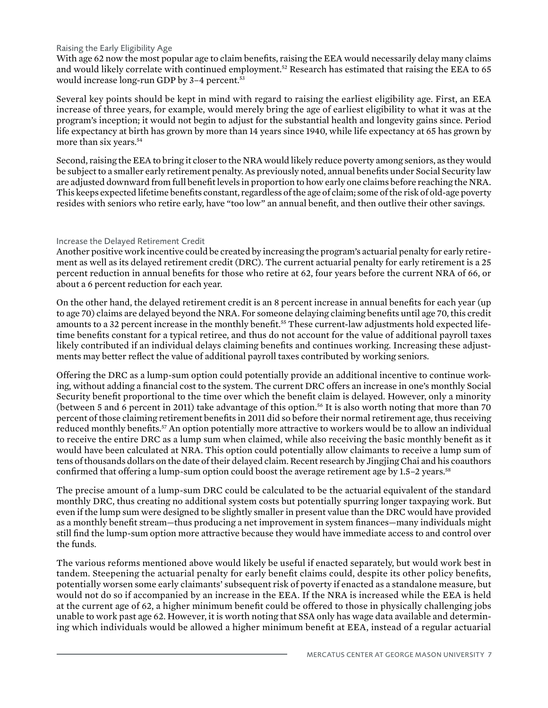#### Raising the Early Eligibility Age

With age 62 now the most popular age to claim benefits, raising the EEA would necessarily delay many claims and would likely correlate with continued employment.<sup>52</sup> Research has estimated that raising the EEA to 65 would increase long-run GDP by 3-4 percent.<sup>53</sup>

Several key points should be kept in mind with regard to raising the earliest eligibility age. First, an EEA increase of three years, for example, would merely bring the age of earliest eligibility to what it was at the program's inception; it would not begin to adjust for the substantial health and longevity gains since. Period life expectancy at birth has grown by more than 14 years since 1940, while life expectancy at 65 has grown by more than six years.<sup>54</sup>

Second, raising the EEA to bring it closer to the NRA would likely reduce poverty among seniors, as they would be subject to a smaller early retirement penalty. As previously noted, annual benefits under Social Security law are adjusted downward from full benefit levels in proportion to how early one claims before reaching the NRA. This keeps expected lifetime benefits constant, regardless of the age of claim; some of the risk of old-age poverty resides with seniors who retire early, have "too low" an annual benefit, and then outlive their other savings.

#### Increase the Delayed Retirement Credit

Another positive work incentive could be created by increasing the program's actuarial penalty for early retirement as well as its delayed retirement credit (DRC). The current actuarial penalty for early retirement is a 25 percent reduction in annual benefits for those who retire at 62, four years before the current NRA of 66, or about a 6 percent reduction for each year.

On the other hand, the delayed retirement credit is an 8 percent increase in annual benefits for each year (up to age 70) claims are delayed beyond the NRA. For someone delaying claiming benefits until age 70, this credit amounts to a 32 percent increase in the monthly benefit.<sup>55</sup> These current-law adjustments hold expected lifetime benefits constant for a typical retiree, and thus do not account for the value of additional payroll taxes likely contributed if an individual delays claiming benefits and continues working. Increasing these adjustments may better reflect the value of additional payroll taxes contributed by working seniors.

Offering the DRC as a lump-sum option could potentially provide an additional incentive to continue working, without adding a financial cost to the system. The current DRC offers an increase in one's monthly Social Security benefit proportional to the time over which the benefit claim is delayed. However, only a minority (between 5 and 6 percent in 2011) take advantage of this option.<sup>56</sup> It is also worth noting that more than 70 percent of those claiming retirement benefits in 2011 did so before their normal retirement age, thus receiving reduced monthly benefits.57 An option potentially more attractive to workers would be to allow an individual to receive the entire DRC as a lump sum when claimed, while also receiving the basic monthly benefit as it would have been calculated at NRA. This option could potentially allow claimants to receive a lump sum of tens of thousands dollars on the date of their delayed claim. Recent research by Jingjing Chai and his coauthors confirmed that offering a lump-sum option could boost the average retirement age by 1.5–2 years.58

The precise amount of a lump-sum DRC could be calculated to be the actuarial equivalent of the standard monthly DRC, thus creating no additional system costs but potentially spurring longer taxpaying work. But even if the lump sum were designed to be slightly smaller in present value than the DRC would have provided as a monthly benefit stream—thus producing a net improvement in system finances—many individuals might still find the lump-sum option more attractive because they would have immediate access to and control over the funds.

The various reforms mentioned above would likely be useful if enacted separately, but would work best in tandem. Steepening the actuarial penalty for early benefit claims could, despite its other policy benefits, potentially worsen some early claimants' subsequent risk of poverty if enacted as a standalone measure, but would not do so if accompanied by an increase in the EEA. If the NRA is increased while the EEA is held at the current age of 62, a higher minimum benefit could be offered to those in physically challenging jobs unable to work past age 62. However, it is worth noting that SSA only has wage data available and determining which individuals would be allowed a higher minimum benefit at EEA, instead of a regular actuarial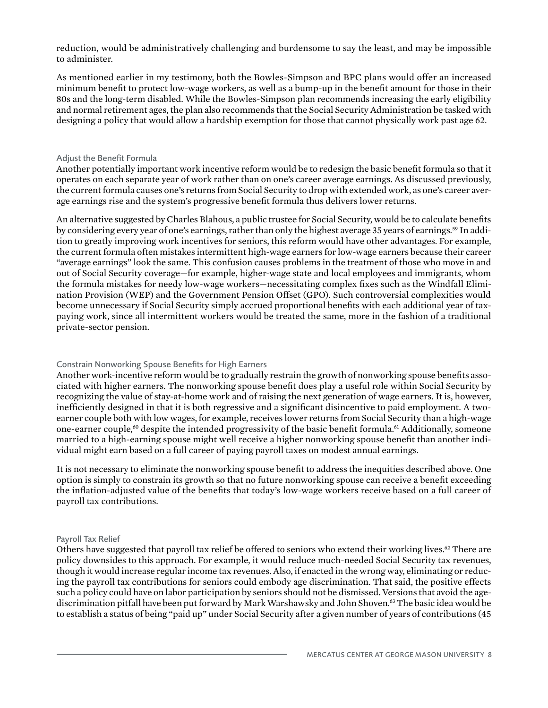reduction, would be administratively challenging and burdensome to say the least, and may be impossible to administer.

As mentioned earlier in my testimony, both the Bowles-Simpson and BPC plans would offer an increased minimum benefit to protect low-wage workers, as well as a bump-up in the benefit amount for those in their 80s and the long-term disabled. While the Bowles-Simpson plan recommends increasing the early eligibility and normal retirement ages, the plan also recommends that the Social Security Administration be tasked with designing a policy that would allow a hardship exemption for those that cannot physically work past age 62.

#### Adjust the Benefit Formula

Another potentially important work incentive reform would be to redesign the basic benefit formula so that it operates on each separate year of work rather than on one's career average earnings. As discussed previously, the current formula causes one's returns from Social Security to drop with extended work, as one's career average earnings rise and the system's progressive benefit formula thus delivers lower returns.

An alternative suggested by Charles Blahous, a public trustee for Social Security, would be to calculate benefits by considering every year of one's earnings, rather than only the highest average 35 years of earnings.<sup>59</sup> In addition to greatly improving work incentives for seniors, this reform would have other advantages. For example, the current formula often mistakes intermittent high-wage earners for low-wage earners because their career "average earnings" look the same. This confusion causes problems in the treatment of those who move in and out of Social Security coverage—for example, higher-wage state and local employees and immigrants, whom the formula mistakes for needy low-wage workers—necessitating complex fixes such as the Windfall Elimination Provision (WEP) and the Government Pension Offset (GPO). Such controversial complexities would become unnecessary if Social Security simply accrued proportional benefits with each additional year of taxpaying work, since all intermittent workers would be treated the same, more in the fashion of a traditional private-sector pension.

#### Constrain Nonworking Spouse Benefits for High Earners

Another work-incentive reform would be to gradually restrain the growth of nonworking spouse benefits associated with higher earners. The nonworking spouse benefit does play a useful role within Social Security by recognizing the value of stay-at-home work and of raising the next generation of wage earners. It is, however, inefficiently designed in that it is both regressive and a significant disincentive to paid employment. A twoearner couple both with low wages, for example, receives lower returns from Social Security than a high-wage one-earner couple,<sup>60</sup> despite the intended progressivity of the basic benefit formula.<sup>61</sup> Additionally, someone married to a high-earning spouse might well receive a higher nonworking spouse benefit than another individual might earn based on a full career of paying payroll taxes on modest annual earnings.

It is not necessary to eliminate the nonworking spouse benefit to address the inequities described above. One option is simply to constrain its growth so that no future nonworking spouse can receive a benefit exceeding the inflation-adjusted value of the benefits that today's low-wage workers receive based on a full career of payroll tax contributions.

#### Payroll Tax Relief

Others have suggested that payroll tax relief be offered to seniors who extend their working lives.<sup>62</sup> There are policy downsides to this approach. For example, it would reduce much-needed Social Security tax revenues, though it would increase regular income tax revenues. Also, if enacted in the wrong way, eliminating or reducing the payroll tax contributions for seniors could embody age discrimination. That said, the positive effects such a policy could have on labor participation by seniors should not be dismissed. Versions that avoid the agediscrimination pitfall have been put forward by Mark Warshawsky and John Shoven.63 The basic idea would be to establish a status of being "paid up" under Social Security after a given number of years of contributions (45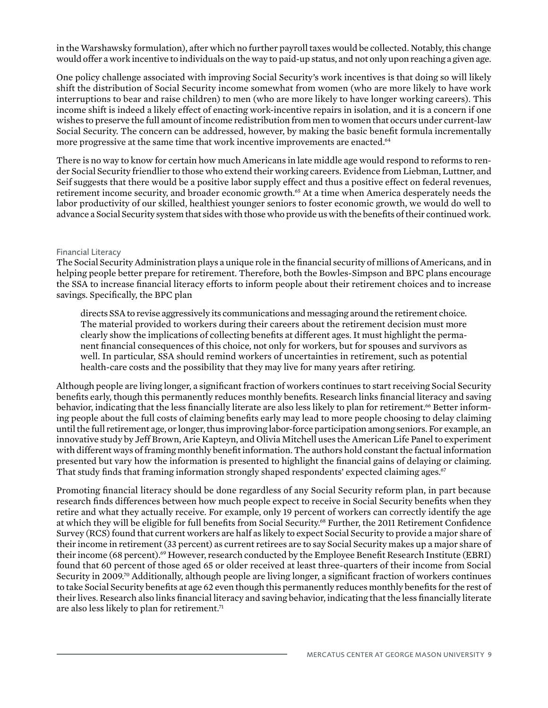in the Warshawsky formulation), after which no further payroll taxes would be collected. Notably, this change would offer a work incentive to individuals on the way to paid-up status, and not only upon reaching a given age.

One policy challenge associated with improving Social Security's work incentives is that doing so will likely shift the distribution of Social Security income somewhat from women (who are more likely to have work interruptions to bear and raise children) to men (who are more likely to have longer working careers). This income shift is indeed a likely effect of enacting work-incentive repairs in isolation, and it is a concern if one wishes to preserve the full amount of income redistribution from men to women that occurs under current-law Social Security. The concern can be addressed, however, by making the basic benefit formula incrementally more progressive at the same time that work incentive improvements are enacted.<sup>64</sup>

There is no way to know for certain how much Americans in late middle age would respond to reforms to render Social Security friendlier to those who extend their working careers. Evidence from Liebman, Luttner, and Seif suggests that there would be a positive labor supply effect and thus a positive effect on federal revenues, retirement income security, and broader economic growth.65 At a time when America desperately needs the labor productivity of our skilled, healthiest younger seniors to foster economic growth, we would do well to advance a Social Security system that sides with those who provide us with the benefits of their continued work.

#### Financial Literacy

The Social Security Administration plays a unique role in the financial security of millions of Americans, and in helping people better prepare for retirement. Therefore, both the Bowles-Simpson and BPC plans encourage the SSA to increase financial literacy efforts to inform people about their retirement choices and to increase savings. Specifically, the BPC plan

directs SSA to revise aggressively its communications and messaging around the retirement choice. The material provided to workers during their careers about the retirement decision must more clearly show the implications of collecting benefits at different ages. It must highlight the permanent financial consequences of this choice, not only for workers, but for spouses and survivors as well. In particular, SSA should remind workers of uncertainties in retirement, such as potential health-care costs and the possibility that they may live for many years after retiring.

Although people are living longer, a significant fraction of workers continues to start receiving Social Security benefits early, though this permanently reduces monthly benefits. Research links financial literacy and saving behavior, indicating that the less financially literate are also less likely to plan for retirement.<sup>66</sup> Better informing people about the full costs of claiming benefits early may lead to more people choosing to delay claiming until the full retirement age, or longer, thus improving labor-force participation among seniors. For example, an innovative study by Jeff Brown, Arie Kapteyn, and Olivia Mitchell uses the American Life Panel to experiment with different ways of framing monthly benefit information. The authors hold constant the factual information presented but vary how the information is presented to highlight the financial gains of delaying or claiming. That study finds that framing information strongly shaped respondents' expected claiming ages.<sup>67</sup>

Promoting financial literacy should be done regardless of any Social Security reform plan, in part because research finds differences between how much people expect to receive in Social Security benefits when they retire and what they actually receive. For example, only 19 percent of workers can correctly identify the age at which they will be eligible for full benefits from Social Security.68 Further, the 2011 Retirement Confidence Survey (RCS) found that current workers are half as likely to expect Social Security to provide a major share of their income in retirement (33 percent) as current retirees are to say Social Security makes up a major share of their income (68 percent).<sup>69</sup> However, research conducted by the Employee Benefit Research Institute (EBRI) found that 60 percent of those aged 65 or older received at least three-quarters of their income from Social Security in 2009.70 Additionally, although people are living longer, a significant fraction of workers continues to take Social Security benefits at age 62 even though this permanently reduces monthly benefits for the rest of their lives. Research also links financial literacy and saving behavior, indicating that the less financially literate are also less likely to plan for retirement.<sup>71</sup>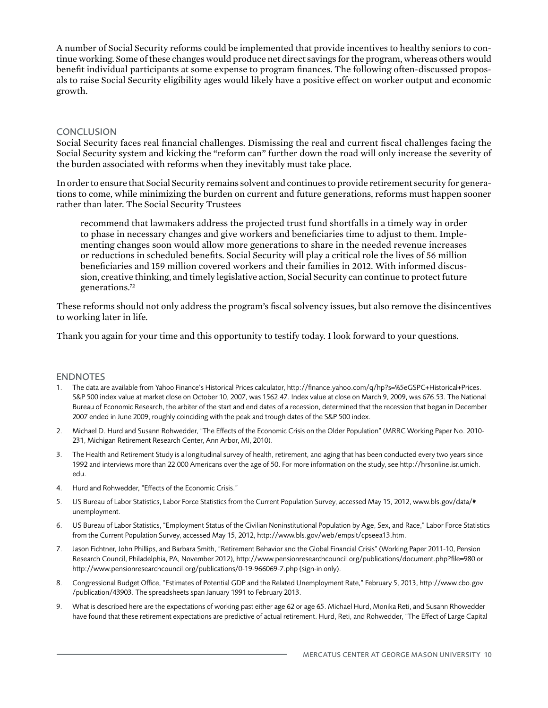A number of Social Security reforms could be implemented that provide incentives to healthy seniors to continue working. Some of these changes would produce net direct savings for the program, whereas others would benefit individual participants at some expense to program finances. The following often-discussed proposals to raise Social Security eligibility ages would likely have a positive effect on worker output and economic growth.

#### **CONCLUSION**

Social Security faces real financial challenges. Dismissing the real and current fiscal challenges facing the Social Security system and kicking the "reform can" further down the road will only increase the severity of the burden associated with reforms when they inevitably must take place.

In order to ensure that Social Security remains solvent and continues to provide retirement security for generations to come, while minimizing the burden on current and future generations, reforms must happen sooner rather than later. The Social Security Trustees

recommend that lawmakers address the projected trust fund shortfalls in a timely way in order to phase in necessary changes and give workers and beneficiaries time to adjust to them. Implementing changes soon would allow more generations to share in the needed revenue increases or reductions in scheduled benefits. Social Security will play a critical role the lives of 56 million beneficiaries and 159 million covered workers and their families in 2012. With informed discussion, creative thinking, and timely legislative action, Social Security can continue to protect future generations.72

These reforms should not only address the program's fiscal solvency issues, but also remove the disincentives to working later in life.

Thank you again for your time and this opportunity to testify today. I look forward to your questions.

#### **ENDNOTES**

- 1. The data are available from Yahoo Finance's Historical Prices calculator, http://finance.yahoo.com/q/hp?s=%5eGSPC+Historical+Prices. S&P 500 index value at market close on October 10, 2007, was 1562.47. Index value at close on March 9, 2009, was 676.53. The National Bureau of Economic Research, the arbiter of the start and end dates of a recession, determined that the recession that began in December 2007 ended in June 2009, roughly coinciding with the peak and trough dates of the S&P 500 index.
- 2. Michael D. Hurd and Susann Rohwedder, "The Effects of the Economic Crisis on the Older Population" (MRRC Working Paper No. 2010- 231, Michigan Retirement Research Center, Ann Arbor, MI, 2010).
- 3. The Health and Retirement Study is a longitudinal survey of health, retirement, and aging that has been conducted every two years since 1992 and interviews more than 22,000 Americans over the age of 50. For more information on the study, see http://hrsonline.isr.umich. edu.
- 4. Hurd and Rohwedder, "Effects of the Economic Crisis."
- 5. US Bureau of Labor Statistics, Labor Force Statistics from the Current Population Survey, accessed May 15, 2012, www.bls.gov/data/# unemployment.
- 6. US Bureau of Labor Statistics, "Employment Status of the Civilian Noninstitutional Population by Age, Sex, and Race," Labor Force Statistics from the Current Population Survey, accessed May 15, 2012, http://www.bls.gov/web/empsit/cpseea13.htm.
- 7. Jason Fichtner, John Phillips, and Barbara Smith, "Retirement Behavior and the Global Financial Crisis" (Working Paper 2011-10, Pension Research Council, Philadelphia, PA, November 2012), http://www.pensionresearchcouncil.org/publications/document.php?file=980 or http://www.pensionresearchcouncil.org/publications/0-19-966069-7.php (sign-in only).
- 8. Congressional Budget Office, "Estimates of Potential GDP and the Related Unemployment Rate," February 5, 2013, http://www.cbo.gov /publication/43903. The spreadsheets span January 1991 to February 2013.
- 9. What is described here are the expectations of working past either age 62 or age 65. Michael Hurd, Monika Reti, and Susann Rhowedder have found that these retirement expectations are predictive of actual retirement. Hurd, Reti, and Rohwedder, "The Effect of Large Capital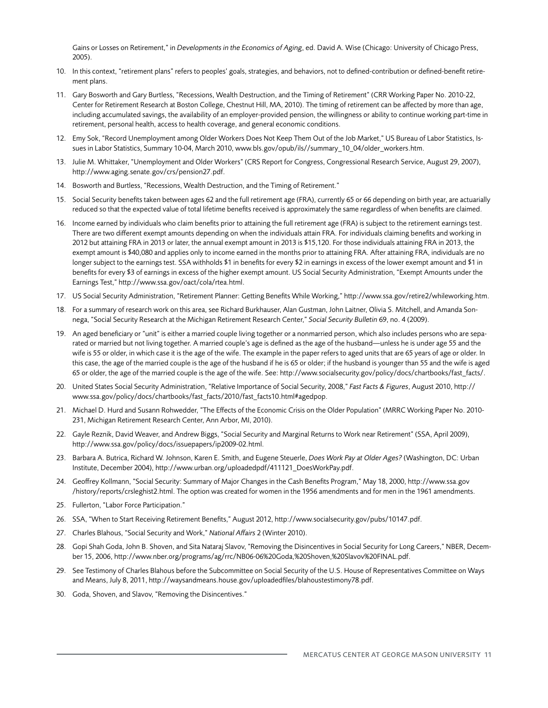Gains or Losses on Retirement," in *Developments in the Economics of Aging*, ed. David A. Wise (Chicago: University of Chicago Press, 2005).

- 10. In this context, "retirement plans" refers to peoples' goals, strategies, and behaviors, not to defined-contribution or defined-benefit retirement plans.
- 11. Gary Bosworth and Gary Burtless, "Recessions, Wealth Destruction, and the Timing of Retirement" (CRR Working Paper No. 2010-22, Center for Retirement Research at Boston College, Chestnut Hill, MA, 2010). The timing of retirement can be affected by more than age, including accumulated savings, the availability of an employer-provided pension, the willingness or ability to continue working part-time in retirement, personal health, access to health coverage, and general economic conditions.
- 12. Emy Sok, "Record Unemployment among Older Workers Does Not Keep Them Out of the Job Market," US Bureau of Labor Statistics, Issues in Labor Statistics, Summary 10-04, March 2010, www.bls.gov/opub/ils//summary\_10\_04/older\_workers.htm.
- 13. Julie M. Whittaker, "Unemployment and Older Workers" (CRS Report for Congress, Congressional Research Service, August 29, 2007), http://www.aging.senate.gov/crs/pension27.pdf.
- 14. Bosworth and Burtless, "Recessions, Wealth Destruction, and the Timing of Retirement."
- 15. Social Security benefits taken between ages 62 and the full retirement age (FRA), currently 65 or 66 depending on birth year, are actuarially reduced so that the expected value of total lifetime benefits received is approximately the same regardless of when benefits are claimed.
- 16. Income earned by individuals who claim benefits prior to attaining the full retirement age (FRA) is subject to the retirement earnings test. There are two different exempt amounts depending on when the individuals attain FRA. For individuals claiming benefits and working in 2012 but attaining FRA in 2013 or later, the annual exempt amount in 2013 is \$15,120. For those individuals attaining FRA in 2013, the exempt amount is \$40,080 and applies only to income earned in the months prior to attaining FRA. After attaining FRA, individuals are no longer subject to the earnings test. SSA withholds \$1 in benefits for every \$2 in earnings in excess of the lower exempt amount and \$1 in benefits for every \$3 of earnings in excess of the higher exempt amount. US Social Security Administration, "Exempt Amounts under the Earnings Test," http://www.ssa.gov/oact/cola/rtea.html.
- 17. US Social Security Administration, "Retirement Planner: Getting Benefits While Working," http://www.ssa.gov/retire2/whileworking.htm.
- 18. For a summary of research work on this area, see Richard Burkhauser, Alan Gustman, John Laitner, Olivia S. Mitchell, and Amanda Sonnega, "Social Security Research at the Michigan Retirement Research Center," *Social Security Bulletin* 69, no. 4 (2009).
- 19. An aged beneficiary or "unit" is either a married couple living together or a nonmarried person, which also includes persons who are separated or married but not living together. A married couple's age is defined as the age of the husband—unless he is under age 55 and the wife is 55 or older, in which case it is the age of the wife. The example in the paper refers to aged units that are 65 years of age or older. In this case, the age of the married couple is the age of the husband if he is 65 or older; if the husband is younger than 55 and the wife is aged 65 or older, the age of the married couple is the age of the wife. See: http://www.socialsecurity.gov/policy/docs/chartbooks/fast\_facts/.
- 20. United States Social Security Administration, "Relative Importance of Social Security, 2008," *Fast Facts & Figures*, August 2010, http:// www.ssa.gov/policy/docs/chartbooks/fast\_facts/2010/fast\_facts10.html#agedpop.
- 21. Michael D. Hurd and Susann Rohwedder, "The Effects of the Economic Crisis on the Older Population" (MRRC Working Paper No. 2010- 231, Michigan Retirement Research Center, Ann Arbor, MI, 2010).
- 22. Gayle Reznik, David Weaver, and Andrew Biggs, "Social Security and Marginal Returns to Work near Retirement" (SSA, April 2009), http://www.ssa.gov/policy/docs/issuepapers/ip2009-02.html.
- 23. Barbara A. Butrica, Richard W. Johnson, Karen E. Smith, and Eugene Steuerle, *Does Work Pay at Older Ages?* (Washington, DC: Urban Institute, December 2004), http://www.urban.org/uploadedpdf/411121\_DoesWorkPay.pdf.
- 24. Geoffrey Kollmann, "Social Security: Summary of Major Changes in the Cash Benefits Program," May 18, 2000, http://www.ssa.gov /history/reports/crsleghist2.html. The option was created for women in the 1956 amendments and for men in the 1961 amendments.
- 25. Fullerton, "Labor Force Participation."
- 26. SSA, "When to Start Receiving Retirement Benefits," August 2012, http://www.socialsecurity.gov/pubs/10147.pdf.
- 27. Charles Blahous, "Social Security and Work," *National Affairs* 2 (Winter 2010).
- 28. Gopi Shah Goda, John B. Shoven, and Sita Nataraj Slavov, "Removing the Disincentives in Social Security for Long Careers," NBER, December 15, 2006, http://www.nber.org/programs/ag/rrc/NB06-06%20Goda,%20Shoven,%20Slavov%20FINAL.pdf.
- 29. See Testimony of Charles Blahous before the Subcommittee on Social Security of the U.S. House of Representatives Committee on Ways and Means, July 8, 2011, http://waysandmeans.house.gov/uploadedfiles/blahoustestimony78.pdf.
- 30. Goda, Shoven, and Slavov, "Removing the Disincentives."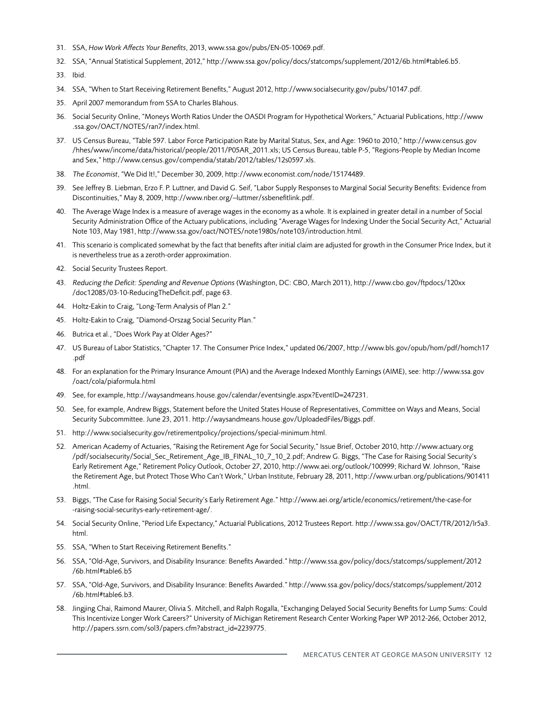- 31. SSA, *How Work Affects Your Benefits*, 2013, www.ssa.gov/pubs/EN-05-10069.pdf.
- 32. SSA, "Annual Statistical Supplement, 2012," http://www.ssa.gov/policy/docs/statcomps/supplement/2012/6b.html#table6.b5.
- 33. Ibid.
- 34. SSA, "When to Start Receiving Retirement Benefits," August 2012, http://www.socialsecurity.gov/pubs/10147.pdf.
- 35. April 2007 memorandum from SSA to Charles Blahous.
- 36. Social Security Online, "Moneys Worth Ratios Under the OASDI Program for Hypothetical Workers," Actuarial Publications, http://www .ssa.gov/OACT/NOTES/ran7/index.html.
- 37. US Census Bureau, "Table 597. Labor Force Participation Rate by Marital Status, Sex, and Age: 1960 to 2010," http://www.census.gov /hhes/www/income/data/historical/people/2011/P05AR\_2011.xls; US Census Bureau, table P-5, "Regions-People by Median Income and Sex," http://www.census.gov/compendia/statab/2012/tables/12s0597.xls.
- 38. *The Economist*, "We Did It!," December 30, 2009, http://www.economist.com/node/15174489.
- 39. See Jeffrey B. Liebman, Erzo F. P. Luttner, and David G. Seif, "Labor Supply Responses to Marginal Social Security Benefits: Evidence from Discontinuities," May 8, 2009, http://www.nber.org/~luttmer/ssbenefitlink.pdf.
- 40. The Average Wage Index is a measure of average wages in the economy as a whole. It is explained in greater detail in a number of Social Security Administration Office of the Actuary publications, including "Average Wages for Indexing Under the Social Security Act," Actuarial Note 103, May 1981, http://www.ssa.gov/oact/NOTES/note1980s/note103/introduction.html.
- 41. This scenario is complicated somewhat by the fact that benefits after initial claim are adjusted for growth in the Consumer Price Index, but it is nevertheless true as a zeroth-order approximation.
- 42. Social Security Trustees Report.
- 43. *Reducing the Deficit: Spending and Revenue Options* (Washington, DC: CBO, March 2011), http://www.cbo.gov/ftpdocs/120xx /doc12085/03-10-ReducingTheDeficit.pdf, page 63.
- 44. Holtz-Eakin to Craig, "Long-Term Analysis of Plan 2."
- 45. Holtz-Eakin to Craig, "Diamond-Orszag Social Security Plan."
- 46. Butrica et al., "Does Work Pay at Older Ages?"
- 47. US Bureau of Labor Statistics, "Chapter 17. The Consumer Price Index," updated 06/2007, http://www.bls.gov/opub/hom/pdf/homch17 .pdf
- 48. For an explanation for the Primary Insurance Amount (PIA) and the Average Indexed Monthly Earnings (AIME), see: http://www.ssa.gov /oact/cola/piaformula.html
- 49. See, for example, http://waysandmeans.house.gov/calendar/eventsingle.aspx?EventID=247231.
- 50. See, for example, Andrew Biggs, Statement before the United States House of Representatives, Committee on Ways and Means, Social Security Subcommittee. June 23, 2011. http://waysandmeans.house.gov/UploadedFiles/Biggs.pdf.
- 51. http://www.socialsecurity.gov/retirementpolicy/projections/special-minimum.html.
- 52. American Academy of Actuaries, "Raising the Retirement Age for Social Security," Issue Brief, October 2010, http://www.actuary.org /pdf/socialsecurity/Social\_Sec\_Retirement\_Age\_IB\_FINAL\_10\_7\_10\_2.pdf; Andrew G. Biggs, "The Case for Raising Social Security's Early Retirement Age," Retirement Policy Outlook, October 27, 2010, http://www.aei.org/outlook/100999; Richard W. Johnson, "Raise the Retirement Age, but Protect Those Who Can't Work," Urban Institute, February 28, 2011, http://www.urban.org/publications/901411 .html.
- 53. Biggs, "The Case for Raising Social Security's Early Retirement Age." http://www.aei.org/article/economics/retirement/the-case-for -raising-social-securitys-early-retirement-age/.
- 54. Social Security Online, "Period Life Expectancy," Actuarial Publications, 2012 Trustees Report. http://www.ssa.gov/OACT/TR/2012/lr5a3. html.
- 55. SSA, "When to Start Receiving Retirement Benefits."
- 56. SSA, "Old-Age, Survivors, and Disability Insurance: Benefits Awarded." http://www.ssa.gov/policy/docs/statcomps/supplement/2012 /6b.html#table6.b5
- 57. SSA, "Old-Age, Survivors, and Disability Insurance: Benefits Awarded." http://www.ssa.gov/policy/docs/statcomps/supplement/2012 /6b.html#table6.b3.
- 58. Jingjing Chai, Raimond Maurer, Olivia S. Mitchell, and Ralph Rogalla, "Exchanging Delayed Social Security Benefits for Lump Sums: Could This Incentivize Longer Work Careers?" University of Michigan Retirement Research Center Working Paper WP 2012-266, October 2012, http://papers.ssrn.com/sol3/papers.cfm?abstract\_id=2239775.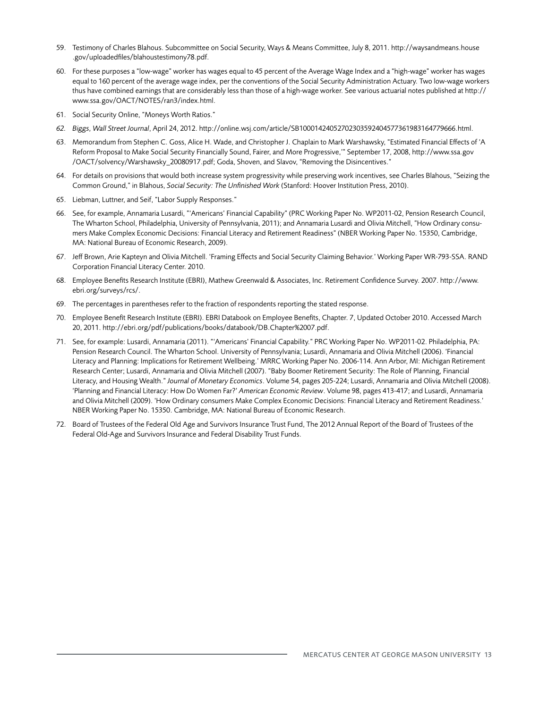- 59. Testimony of Charles Blahous. Subcommittee on Social Security, Ways & Means Committee, July 8, 2011. http://waysandmeans.house .gov/uploadedfiles/blahoustestimony78.pdf.
- 60. For these purposes a "low-wage" worker has wages equal to 45 percent of the Average Wage Index and a "high-wage" worker has wages equal to 160 percent of the average wage index, per the conventions of the Social Security Administration Actuary. Two low-wage workers thus have combined earnings that are considerably less than those of a high-wage worker. See various actuarial notes published at http:// www.ssa.gov/OACT/NOTES/ran3/index.html.
- 61. Social Security Online, "Moneys Worth Ratios."
- *62. Biggs, Wall Street Journal*, April 24, 2012. http://online.wsj.com/article/SB10001424052702303592404577361983164779666.html.
- 63. Memorandum from Stephen C. Goss, Alice H. Wade, and Christopher J. Chaplain to Mark Warshawsky, "Estimated Financial Effects of 'A Reform Proposal to Make Social Security Financially Sound, Fairer, and More Progressive,'" September 17, 2008, http://www.ssa.gov /OACT/solvency/Warshawsky\_20080917.pdf; Goda, Shoven, and Slavov, "Removing the Disincentives."
- 64. For details on provisions that would both increase system progressivity while preserving work incentives, see Charles Blahous, "Seizing the Common Ground," in Blahous, *Social Security: The Unfinished Work* (Stanford: Hoover Institution Press, 2010).
- 65. Liebman, Luttner, and Seif, "Labor Supply Responses."
- 66. See, for example, Annamaria Lusardi, "'Americans' Financial Capability" (PRC Working Paper No. WP2011-02, Pension Research Council, The Wharton School, Philadelphia, University of Pennsylvania, 2011); and Annamaria Lusardi and Olivia Mitchell, "How Ordinary consumers Make Complex Economic Decisions: Financial Literacy and Retirement Readiness" (NBER Working Paper No. 15350, Cambridge, MA: National Bureau of Economic Research, 2009).
- 67. Jeff Brown, Arie Kapteyn and Olivia Mitchell. 'Framing Effects and Social Security Claiming Behavior.' Working Paper WR-793-SSA. RAND Corporation Financial Literacy Center. 2010.
- 68. Employee Benefits Research Institute (EBRI), Mathew Greenwald & Associates, Inc. Retirement Confidence Survey. 2007. http://www. ebri.org/surveys/rcs/.
- 69. The percentages in parentheses refer to the fraction of respondents reporting the stated response.
- 70. Employee Benefit Research Institute (EBRI). EBRI Databook on Employee Benefits, Chapter. 7, Updated October 2010. Accessed March 20, 2011. http://ebri.org/pdf/publications/books/databook/DB.Chapter%2007.pdf.
- 71. See, for example: Lusardi, Annamaria (2011). "'Americans' Financial Capability." PRC Working Paper No. WP2011-02. Philadelphia, PA: Pension Research Council. The Wharton School. University of Pennsylvania; Lusardi, Annamaria and Olivia Mitchell (2006). 'Financial Literacy and Planning: Implications for Retirement Wellbeing.' MRRC Working Paper No. 2006-114. Ann Arbor, MI: Michigan Retirement Research Center; Lusardi, Annamaria and Olivia Mitchell (2007). "Baby Boomer Retirement Security: The Role of Planning, Financial Literacy, and Housing Wealth." *Journal of Monetary Economics*. Volume 54, pages 205-224; Lusardi, Annamaria and Olivia Mitchell (2008). 'Planning and Financial Literacy: How Do Women Far?' *American Economic Review*. Volume 98, pages 413-417; and Lusardi, Annamaria and Olivia Mitchell (2009). 'How Ordinary consumers Make Complex Economic Decisions: Financial Literacy and Retirement Readiness.' NBER Working Paper No. 15350. Cambridge, MA: National Bureau of Economic Research.
- 72. Board of Trustees of the Federal Old Age and Survivors Insurance Trust Fund, The 2012 Annual Report of the Board of Trustees of the Federal Old-Age and Survivors Insurance and Federal Disability Trust Funds.